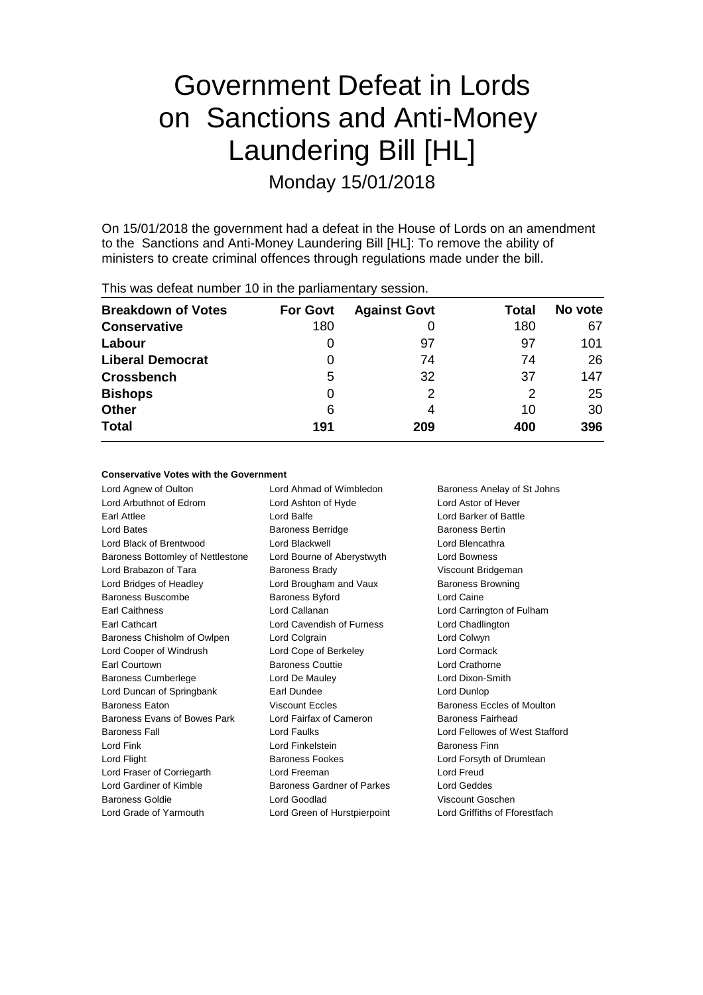# Government Defeat in Lords on Sanctions and Anti-Money Laundering Bill [HL] Monday 15/01/2018

On 15/01/2018 the government had a defeat in the House of Lords on an amendment to the Sanctions and Anti-Money Laundering Bill [HL]: To remove the ability of ministers to create criminal offences through regulations made under the bill.

| This was defeat number 10 in the parliamentary session. |                 |                     |       |         |  |
|---------------------------------------------------------|-----------------|---------------------|-------|---------|--|
| <b>Breakdown of Votes</b>                               | <b>For Govt</b> | <b>Against Govt</b> | Total | No vote |  |
| <b>Conservative</b>                                     | 180             | O                   | 180   | 67      |  |
| Labour                                                  | 0               | 97                  | 97    | 101     |  |
| <b>Liberal Democrat</b>                                 | 0               | 74                  | 74    | 26      |  |
| <b>Crossbench</b>                                       | 5               | 32                  | 37    | 147     |  |
| <b>Bishops</b>                                          | 0               | 2                   | 2     | 25      |  |
| <b>Other</b>                                            | 6               | 4                   | 10    | 30      |  |
| <b>Total</b>                                            | 191             | 209                 | 400   | 396     |  |

#### **Conservative Votes with the Government**

Lord Agnew of Oulton Lord Ahmad of Wimbledon Baroness Anelay of St Johns Lord Arbuthnot of Edrom Lord Ashton of Hyde Lord Astor of Hever Earl Attlee **Lord Balfe** Lord Balfe Lord Barker of Battle Lord Bates Baroness Berridge Baroness Bertin Lord Black of Brentwood Lord Blackwell Lord Blencathra Baroness Bottomley of Nettlestone Lord Bourne of Aberystwyth Lord Bowness Lord Brabazon of Tara **Baroness Brady Communist Constructs** Viscount Bridgeman Lord Bridges of Headley **Lord Brougham and Vaux** Baroness Browning Baroness Buscombe Baroness Byford Baroness Buscombe Baroness Byford Lord Caine Earl Caithness Lord Callanan Lord Carrington of Fulham Earl Cathcart Lord Cavendish of Furness Lord Chadlington Baroness Chisholm of Owlpen Lord Colgrain Lord Colwyn Lord Cooper of Windrush Lord Cope of Berkeley Lord Cormack Earl Courtown **Baroness Couttie** Lord Crathorne Baroness Cumberlege **Lord De Mauley** Lord Communication-Smith Lord Duncan of Springbank Earl Dundee Lord Dunlop Baroness Eaton **Baroness Excles** Baroness Eccles **Baroness** Eccles of Moulton Baroness Evans of Bowes Park Lord Fairfax of Cameron Baroness Fairhead Baroness Fall Lord Faulks Lord Fellowes of West Stafford Lord Fink Lord Finkelstein Baroness Finn Lord Flight **Baroness Fookes** Lord Forsyth of Drumlean Lord Fraser of Corriegarth Lord Freeman Lord Freud Lord Gardiner of Kimble Baroness Gardner of Parkes Lord Geddes Baroness Goldie Lord Goodlad Viscount Goschen Lord Grade of Yarmouth Lord Green of Hurstpierpoint Lord Griffiths of Fforestfach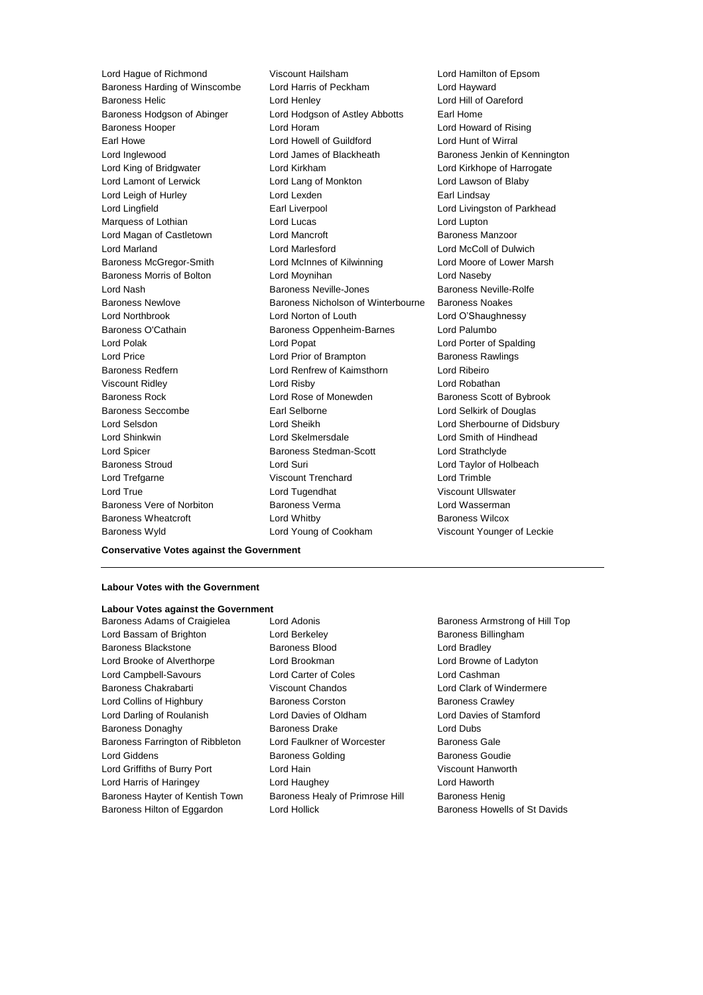Lord Hague of Richmond Viscount Hailsham Lord Hamilton of Epsom Baroness Harding of Winscombe Lord Harris of Peckham Lord Hayward Baroness Helic Lord Henley Lord Hill of Oareford Baroness Hodgson of Abinger Lord Hodgson of Astley Abbotts Earl Home Baroness Hooper Lord Horam Lord Howard of Rising Earl Howe Lord Howell of Guildford Cord Hunt of Wirral<br>
Lord Inglewood Lord James of Blackheath Baroness Jenkin of Lord Inglewood Lord James of Blackheath Baroness Jenkin of Kennington Lord King of Bridgwater Lord Kirkham Lord Kirkhope of Harrogate Lord Lamont of Lerwick Lord Lang of Monkton Lord Lawson of Blaby Lord Leigh of Hurley **Lord Lexden** Earl Lindsay Lord Lingfield **Earl Liverpool** Earl Liverpool **Lord Livingston of Parkhead** Marquess of Lothian **Lord Lucas** Lord Lucas Lord Lupton Lord Magan of Castletown **Lord Mancroft Communist Communist Communist Communist Communist Communist Communist Communist Communist Communist Communist Communist Communist Communist Communist Communist Communist Communist** Lord Marland Lord Marlesford Lord McColl of Dulwich Baroness McGregor-Smith Lord McInnes of Kilwinning Lord Moore of Lower Marsh Baroness Morris of Bolton Lord Moynihan Lord Naseby Lord Nash Baroness Neville-Jones Baroness Neville-Rolfe Baroness Newlove Baroness Nicholson of Winterbourne Baroness Noakes Lord Northbrook Lord Norton of Louth Lord O'Shaughnessy Baroness O'Cathain **Baroness Oppenheim-Barnes** Lord Palumbo Lord Polak Lord Popat Lord Porter of Spalding Lord Price **Lord Prior of Brampton** Baroness Rawlings Baroness Redfern Lord Renfrew of Kaimsthorn Lord Ribeiro Viscount Ridley Lord Risby Lord Robathan Baroness Rock **Lord Rose of Monewden** Baroness Scott of Bybrook Baroness Seccombe Earl Selborne Lord Selkirk of Douglas Lord Selsdon Lord Sheikh Lord Sherbourne of Didsbury Lord Shinkwin Lord Skelmersdale Lord Smith of Hindhead Lord Spicer **Baroness Stedman-Scott** Lord Strathclyde Baroness Stroud Lord Suri Lord Taylor of Holbeach Lord Trefgarne Viscount Trenchard Lord Trimble Lord True Lord Tugendhat Viscount Ullswater Baroness Vere of Norbiton **Baroness Verma** Baroness Vermann Lord Wassermann Baroness Wheatcroft Lord Whitby Baroness Wilcox Baroness Wyld **Lord Young of Cookham** Viscount Younger of Leckie

**Conservative Votes against the Government**

### **Labour Votes with the Government**

#### **Labour Votes against the Government**

Lord Bassam of Brighton **Lord Berkeley Baroness Billingham** Baroness Blackstone **Baroness Blood Baroness Blood** Lord Bradley Lord Brooke of Alverthorpe Lord Brookman Lord Browne of Ladyton Lord Campbell-Savours Lord Carter of Coles Lord Cashman Baroness Chakrabarti **Viscount Chandos** Lord Clark of Windermere Lord Collins of Highbury **Baroness Corston** Baroness Crawley Lord Darling of Roulanish Lord Davies of Oldham Lord Davies of Stamford Baroness Donaghy **Baroness Drake** Lord Dubs Baroness Farrington of Ribbleton Lord Faulkner of Worcester Baroness Gale Lord Giddens **Baroness Golding** Baroness Goudie Lord Griffiths of Burry Port Lord Hain Viscount Hanworth Lord Harris of Haringey Lord Haughey Lord Haworth Baroness Hayter of Kentish Town Baroness Healy of Primrose Hill Baroness Henig

Baroness Adams of Craigielea Lord Adonis **Baroness Armstrong of Hill Top** 

Baroness Hilton of Eggardon Lord Hollick Baroness Howells of St Davids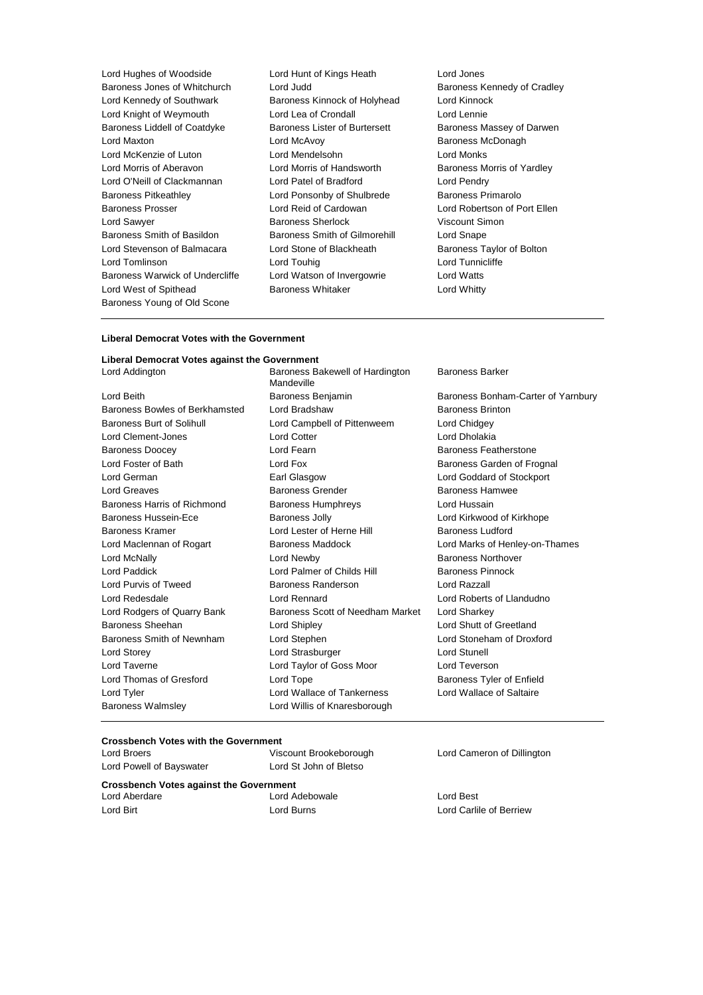| Lord Hughes of Woodside         | Lord Hunt of Kings Heath             | Lord Jones          |
|---------------------------------|--------------------------------------|---------------------|
| Baroness Jones of Whitchurch    | Lord Judd                            | Baroness Ke         |
| Lord Kennedy of Southwark       | Baroness Kinnock of Holyhead         | Lord Kinnoc         |
| Lord Knight of Weymouth         | Lord Lea of Crondall                 | Lord Lennie         |
| Baroness Liddell of Coatdyke    | <b>Baroness Lister of Burtersett</b> | Baroness Ma         |
| Lord Maxton                     | Lord McAvoy                          | Baroness M          |
| Lord McKenzie of Luton          | Lord Mendelsohn                      | Lord Monks          |
| Lord Morris of Aberavon         | Lord Morris of Handsworth            | Baroness M          |
| Lord O'Neill of Clackmannan     | Lord Patel of Bradford               | Lord Pendry         |
| <b>Baroness Pitkeathley</b>     | Lord Ponsonby of Shulbrede           | <b>Baroness Pr</b>  |
| <b>Baroness Prosser</b>         | Lord Reid of Cardowan                | Lord Roberts        |
| Lord Sawyer                     | <b>Baroness Sherlock</b>             | <b>Viscount Sin</b> |
| Baroness Smith of Basildon      | Baroness Smith of Gilmorehill        | Lord Snape          |
| Lord Stevenson of Balmacara     | Lord Stone of Blackheath             | <b>Baroness Ta</b>  |
| Lord Tomlinson                  | Lord Touhig                          | <b>Lord Tunnicl</b> |
| Baroness Warwick of Undercliffe | Lord Watson of Invergowrie           | Lord Watts          |
| Lord West of Spithead           | <b>Baroness Whitaker</b>             | Lord Whitty         |
| Baroness Young of Old Scone     |                                      |                     |
|                                 |                                      |                     |

Lord Jones Baroness Kennedy of Cradley Lord Kinnock Baroness Massey of Darwen Baroness McDonagh Lord Monks Baroness Morris of Yardley Lord Pendry Baroness Primarolo Lord Robertson of Port Ellen Viscount Simon Lord Snape Baroness Taylor of Bolton Lord Tunnicliffe Lord Whitty

#### **Liberal Democrat Votes with the Government**

#### **Liberal Democrat Votes against the Government** Lord Addington **Baroness Bakewell of Hardington**

Baroness Walmsley Lord Willis of Knaresborough

Mandeville Lord Beith **Baroness Benjamin** Baroness Benjamin Baroness Bonham-Carter of Yarnbury Baroness Bowles of Berkhamsted Lord Bradshaw Baroness Brinton Baroness Burt of Solihull Lord Campbell of Pittenweem Lord Chidgey Lord Clement-Jones Lord Cotter Lord Cotter Lord Cotter Lord Dholakia Baroness Doocey **Lord Fearn** Baroness Featherstone Lord Foster of Bath **Lord Fox** Lord Fox **Baroness Garden of Frognal** Lord German Earl Glasgow Lord Goddard of Stockport Lord Greaves **Baroness Grender** Baroness Hamwee **Baroness** Hamwee Baroness Harris of Richmond Baroness Humphreys Lord Hussain Baroness Hussein-Ece **Baroness Jolly Communist Communist Communist Communist Communist Communist Communist Communist Communist Communist Communist Communist Communist Communist Communist Communist Communist Communist Commu** Baroness Kramer **Lord Lester of Herne Hill** Baroness Ludford Baroness Ludford Lord Maclennan of Rogart Baroness Maddock Lord Marks of Henley-on-Thames Lord McNally Lord Newby Baroness Northover Lord Paddick **Lord Palmer of Childs Hill Baroness Pinnock** Lord Purvis of Tweed Baroness Randerson Lord Razzall Lord Redesdale Lord Rennard Lord Roberts of Llandudno Lord Rodgers of Quarry Bank Baroness Scott of Needham Market Lord Sharkey Baroness Sheehan Lord Shipley Lord Shutt of Greetland Baroness Smith of Newnham Lord Stephen Lord Stoneham of Droxford Lord Storey **Lord Strasburger** Lord Strasburger **Lord Stunell** Lord Taverne Lord Taylor of Goss Moor Lord Teverson Lord Thomas of Gresford **Lord Tope Container Baroness Tyler of Enfield** Lord Tyler Lord Wallace of Tankerness Lord Wallace of Saltaire

Baroness Barker

#### **Crossbench Votes with the Government**

Lord Broers Viscount Brookeborough Lord Cameron of Dillington Lord Powell of Bayswater Lord St John of Bletso

**Crossbench Votes against the Government**

Lord Adebowale **Lord Best** 

Lord Birt Lord Burns Lord Carlile of Berriew